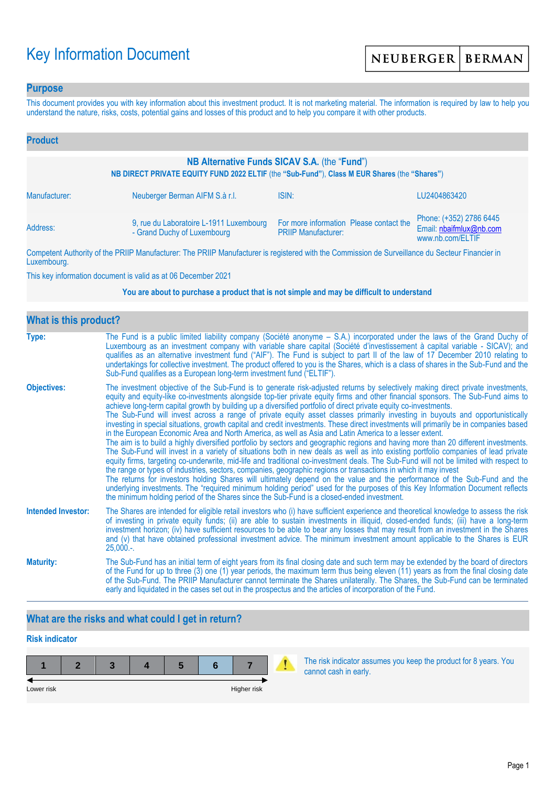# Key Information Document

### **Purpose**

This document provides you with key information about this investment product. It is not marketing material. The information is required by law to help you understand the nature, risks, costs, potential gains and losses of this product and to help you compare it with other products.

| <b>Product</b>                                                                                                                               |                                                                        |                                                                       |                                                                        |  |  |
|----------------------------------------------------------------------------------------------------------------------------------------------|------------------------------------------------------------------------|-----------------------------------------------------------------------|------------------------------------------------------------------------|--|--|
| NB Alternative Funds SICAV S.A. (the "Fund")<br>NB DIRECT PRIVATE EQUITY FUND 2022 ELTIF (the "Sub-Fund"), Class M EUR Shares (the "Shares") |                                                                        |                                                                       |                                                                        |  |  |
| Manufacturer:                                                                                                                                | Neuberger Berman AIFM S.à r.l.                                         | ISIN:                                                                 | LU2404863420                                                           |  |  |
| Address:                                                                                                                                     | 9, rue du Laboratoire L-1911 Luxembourg<br>- Grand Duchy of Luxembourg | For more information Please contact the<br><b>PRIIP Manufacturer:</b> | Phone: (+352) 2786 6445<br>Email: nbaifmlux@nb.com<br>www.nb.com/ELTIF |  |  |

Competent Authority of the PRIIP Manufacturer: The PRIIP Manufacturer is registered with the Commission de Surveillance du Secteur Financier in Luxembourg.

This key information document is valid as at 06 December 2021

#### **You are about to purchase a product that is not simple and may be difficult to understand**

| <b>What is this product?</b> |                                                                                                                                                                                                                                                                                                                                                                                                                                                                                                                                                                                                                                                                                                                                                                                                                                                                                                                                                                                                                                                                                                                                                                                                                                                                                                                                                                                                                                                                                                                                                                                                                                                                               |  |  |  |  |
|------------------------------|-------------------------------------------------------------------------------------------------------------------------------------------------------------------------------------------------------------------------------------------------------------------------------------------------------------------------------------------------------------------------------------------------------------------------------------------------------------------------------------------------------------------------------------------------------------------------------------------------------------------------------------------------------------------------------------------------------------------------------------------------------------------------------------------------------------------------------------------------------------------------------------------------------------------------------------------------------------------------------------------------------------------------------------------------------------------------------------------------------------------------------------------------------------------------------------------------------------------------------------------------------------------------------------------------------------------------------------------------------------------------------------------------------------------------------------------------------------------------------------------------------------------------------------------------------------------------------------------------------------------------------------------------------------------------------|--|--|--|--|
| Type:                        | The Fund is a public limited liability company (Société anonyme – S.A.) incorporated under the laws of the Grand Duchy of<br>Luxembourg as an investment company with variable share capital (Société d'investissement à capital variable - SICAV); and<br>qualifies as an alternative investment fund ("AIF"). The Fund is subject to part II of the law of 17 December 2010 relating to<br>undertakings for collective investment. The product offered to you is the Shares, which is a class of shares in the Sub-Fund and the<br>Sub-Fund qualifies as a European long-term investment fund ("ELTIF").                                                                                                                                                                                                                                                                                                                                                                                                                                                                                                                                                                                                                                                                                                                                                                                                                                                                                                                                                                                                                                                                    |  |  |  |  |
| <b>Objectives:</b>           | The investment objective of the Sub-Fund is to generate risk-adjusted returns by selectively making direct private investments,<br>equity and equity-like co-investments alongside top-tier private equity firms and other financial sponsors. The Sub-Fund aims to<br>achieve long-term capital growth by building up a diversified portfolio of direct private equity co-investments.<br>The Sub-Fund will invest across a range of private equity asset classes primarily investing in buyouts and opportunistically<br>investing in special situations, growth capital and credit investments. These direct investments will primarily be in companies based<br>in the European Economic Area and North America, as well as Asia and Latin America to a lesser extent.<br>The aim is to build a highly diversified portfolio by sectors and geographic regions and having more than 20 different investments.<br>The Sub-Fund will invest in a variety of situations both in new deals as well as into existing portfolio companies of lead private<br>equity firms, targeting co-underwrite, mid-life and traditional co-investment deals. The Sub-Fund will not be limited with respect to<br>the range or types of industries, sectors, companies, geographic regions or transactions in which it may invest<br>The returns for investors holding Shares will ultimately depend on the value and the performance of the Sub-Fund and the<br>underlying investments. The "required minimum holding period" used for the purposes of this Key Information Document reflects<br>the minimum holding period of the Shares since the Sub-Fund is a closed-ended investment. |  |  |  |  |
| <b>Intended Investor:</b>    | The Shares are intended for eligible retail investors who (i) have sufficient experience and theoretical knowledge to assess the risk<br>of investing in private equity funds; (ii) are able to sustain investments in illiquid, closed-ended funds; (iii) have a long-term<br>investment horizon; (iv) have sufficient resources to be able to bear any losses that may result from an investment in the Shares<br>and (v) that have obtained professional investment advice. The minimum investment amount applicable to the Shares is EUR<br>$25,000.$ -.                                                                                                                                                                                                                                                                                                                                                                                                                                                                                                                                                                                                                                                                                                                                                                                                                                                                                                                                                                                                                                                                                                                  |  |  |  |  |
| <b>Maturity:</b>             | The Sub-Fund has an initial term of eight years from its final closing date and such term may be extended by the board of directors<br>of the Fund for up to three (3) one (1) year periods, the maximum term thus being eleven (11) years as from the final closing date<br>of the Sub-Fund. The PRIIP Manufacturer cannot terminate the Shares unilaterally. The Shares, the Sub-Fund can be terminated<br>early and liquidated in the cases set out in the prospectus and the articles of incorporation of the Fund.                                                                                                                                                                                                                                                                                                                                                                                                                                                                                                                                                                                                                                                                                                                                                                                                                                                                                                                                                                                                                                                                                                                                                       |  |  |  |  |

# **What are the risks and what could I get in return?**

# **Risk indicator**

| Lower risk |  |  | Higher risk |  |
|------------|--|--|-------------|--|

The risk indicator assumes you keep the product for 8 years. You cannot cash in early.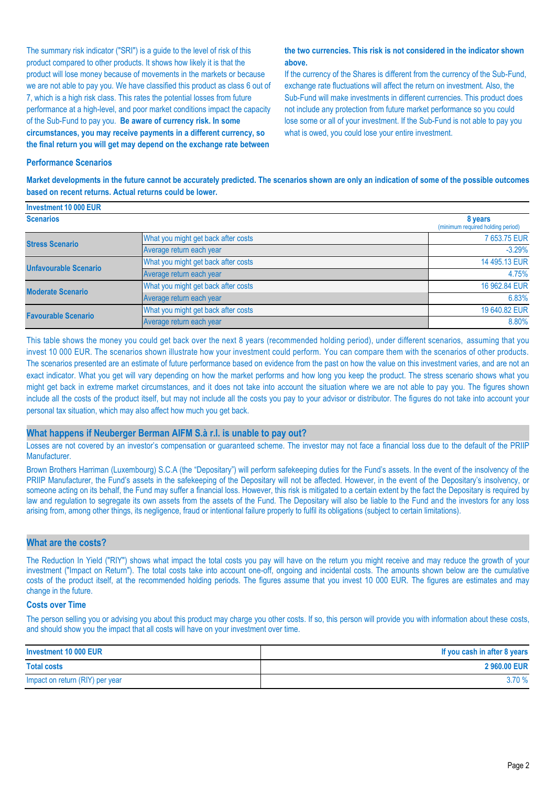The summary risk indicator ("SRI") is a guide to the level of risk of this product compared to other products. It shows how likely it is that the product will lose money because of movements in the markets or because we are not able to pay you. We have classified this product as class 6 out of 7, which is a high risk class. This rates the potential losses from future performance at a high-level, and poor market conditions impact the capacity of the Sub-Fund to pay you. **Be aware of currency risk. In some circumstances, you may receive payments in a different currency, so the final return you will get may depend on the exchange rate between** 

#### **the two currencies. This risk is not considered in the indicator shown above.**

If the currency of the Shares is different from the currency of the Sub-Fund, exchange rate fluctuations will affect the return on investment. Also, the Sub-Fund will make investments in different currencies. This product does not include any protection from future market performance so you could lose some or all of your investment. If the Sub-Fund is not able to pay you what is owed, you could lose your entire investment.

#### **Performance Scenarios**

**Market developments in the future cannot be accurately predicted. The scenarios shown are only an indication of some of the possible outcomes based on recent returns. Actual returns could be lower.**

| Investment 10 000 EUR        |                                              |               |
|------------------------------|----------------------------------------------|---------------|
| <b>Scenarios</b>             | 8 years<br>(minimum required holding period) |               |
| <b>Stress Scenario</b>       | What you might get back after costs          | 7 653.75 EUR  |
|                              | Average return each year                     | $-3.29%$      |
| <b>Unfavourable Scenario</b> | What you might get back after costs          | 14 495.13 EUR |
|                              | Average return each year                     | 4.75%         |
| <b>Moderate Scenario</b>     | What you might get back after costs          | 16 962.84 EUR |
|                              | Average return each year                     | 6.83%         |
| <b>Favourable Scenario</b>   | What you might get back after costs          | 19 640.82 EUR |
|                              | Average return each year                     | 8.80%         |

This table shows the money you could get back over the next 8 years (recommended holding period), under different scenarios, assuming that you invest 10 000 EUR. The scenarios shown illustrate how your investment could perform. You can compare them with the scenarios of other products. The scenarios presented are an estimate of future performance based on evidence from the past on how the value on this investment varies, and are not an exact indicator. What you get will vary depending on how the market performs and how long you keep the product. The stress scenario shows what you might get back in extreme market circumstances, and it does not take into account the situation where we are not able to pay you. The figures shown include all the costs of the product itself, but may not include all the costs you pay to your advisor or distributor. The figures do not take into account your personal tax situation, which may also affect how much you get back.

#### **What happens if Neuberger Berman AIFM S.à r.l. is unable to pay out?**

Losses are not covered by an investor's compensation or guaranteed scheme. The investor may not face a financial loss due to the default of the PRIIP Manufacturer.

Brown Brothers Harriman (Luxembourg) S.C.A (the "Depositary") will perform safekeeping duties for the Fund's assets. In the event of the insolvency of the PRIIP Manufacturer, the Fund's assets in the safekeeping of the Depositary will not be affected. However, in the event of the Depositary's insolvency, or someone acting on its behalf, the Fund may suffer a financial loss. However, this risk is mitigated to a certain extent by the fact the Depositary is required by law and regulation to segregate its own assets from the assets of the Fund. The Depositary will also be liable to the Fund and the investors for any loss arising from, among other things, its negligence, fraud or intentional failure properly to fulfil its obligations (subject to certain limitations).

#### **What are the costs?**

The Reduction In Yield ("RIY") shows what impact the total costs you pay will have on the return you might receive and may reduce the growth of your investment ("Impact on Return"). The total costs take into account one-off, ongoing and incidental costs. The amounts shown below are the cumulative costs of the product itself, at the recommended holding periods. The figures assume that you invest 10 000 EUR. The figures are estimates and may change in the future.

#### **Costs over Time**

The person selling you or advising you about this product may charge you other costs. If so, this person will provide you with information about these costs, and should show you the impact that all costs will have on your investment over time.

| Investment 10 000 EUR           | If you cash in after 8 years |
|---------------------------------|------------------------------|
| <b>Total costs</b>              | 2 960.00 EUR                 |
| Impact on return (RIY) per year | 3.70%                        |